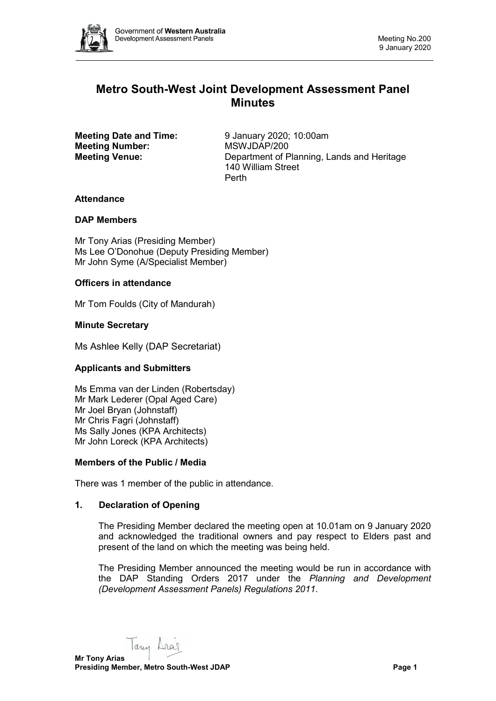

# **Metro South-West Joint Development Assessment Panel Minutes**

**Meeting Number:** 

**Meeting Date and Time:** 9 January 2020; 10:00am<br> **Meeting Number:** MSWJDAP/200 **Meeting Venue:** Department of Planning, Lands and Heritage 140 William Street Perth

# **Attendance**

# **DAP Members**

Mr Tony Arias (Presiding Member) Ms Lee O'Donohue (Deputy Presiding Member) Mr John Syme (A/Specialist Member)

# **Officers in attendance**

Mr Tom Foulds (City of Mandurah)

# **Minute Secretary**

Ms Ashlee Kelly (DAP Secretariat)

# **Applicants and Submitters**

Ms Emma van der Linden (Robertsday) Mr Mark Lederer (Opal Aged Care) Mr Joel Bryan (Johnstaff) Mr Chris Fagri (Johnstaff) Ms Sally Jones (KPA Architects) Mr John Loreck (KPA Architects)

# **Members of the Public / Media**

There was 1 member of the public in attendance.

# **1. Declaration of Opening**

The Presiding Member declared the meeting open at 10.01am on 9 January 2020 and acknowledged the traditional owners and pay respect to Elders past and present of the land on which the meeting was being held.

The Presiding Member announced the meeting would be run in accordance with the DAP Standing Orders 2017 under the *Planning and Development (Development Assessment Panels) Regulations 2011*.

Taun Aras **Mr Tony Arias Presiding Member, Metro South-West JDAP Page 1 Page 1**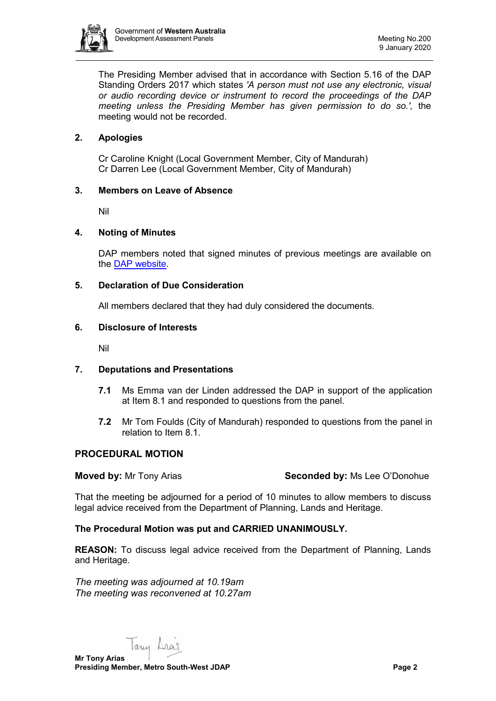

The Presiding Member advised that in accordance with Section 5.16 of the DAP Standing Orders 2017 which states *'A person must not use any electronic, visual or audio recording device or instrument to record the proceedings of the DAP meeting unless the Presiding Member has given permission to do so.',* the meeting would not be recorded.

# **2. Apologies**

Cr Caroline Knight (Local Government Member, City of Mandurah) Cr Darren Lee (Local Government Member, City of Mandurah)

#### **3. Members on Leave of Absence**

Nil

#### **4. Noting of Minutes**

DAP members noted that signed minutes of previous meetings are available on the [DAP website.](https://www.dplh.wa.gov.au/about/development-assessment-panels/daps-agendas-and-minutes)

#### **5. Declaration of Due Consideration**

All members declared that they had duly considered the documents.

#### **6. Disclosure of Interests**

Nil

# **7. Deputations and Presentations**

- **7.1** Ms Emma van der Linden addressed the DAP in support of the application at Item 8.1 and responded to questions from the panel.
- **7.2** Mr Tom Foulds (City of Mandurah) responded to questions from the panel in relation to Item 8.1.

# **PROCEDURAL MOTION**

**Moved by:** Mr Tony Arias **Seconded by:** Ms Lee O'Donohue

That the meeting be adjourned for a period of 10 minutes to allow members to discuss legal advice received from the Department of Planning, Lands and Heritage.

# **The Procedural Motion was put and CARRIED UNANIMOUSLY.**

**REASON:** To discuss legal advice received from the Department of Planning, Lands and Heritage.

*The meeting was adjourned at 10.19am The meeting was reconvened at 10.27am*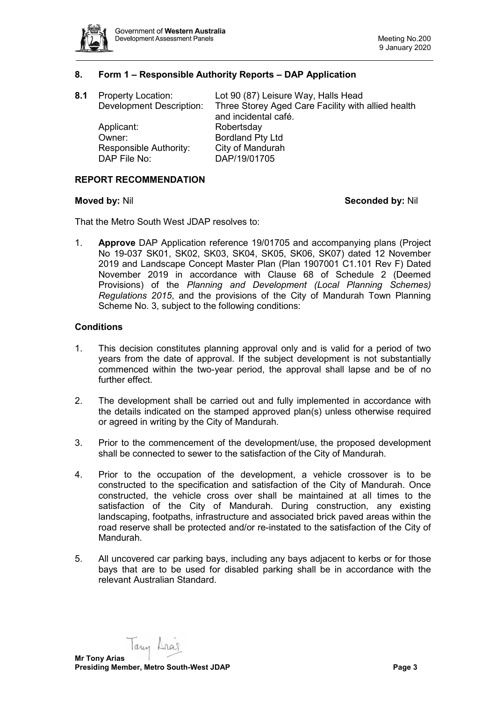

# **8. Form 1 – Responsible Authority Reports – DAP Application**

| <b>Property Location:</b>       | Lot 90 (87) Leisure Way, Halls Head                |
|---------------------------------|----------------------------------------------------|
| <b>Development Description:</b> | Three Storey Aged Care Facility with allied health |
|                                 | and incidental café.                               |
| Applicant:                      | Robertsday                                         |
| Owner:                          | <b>Bordland Pty Ltd</b>                            |
| Responsible Authority:          | City of Mandurah                                   |
| DAP File No:                    | DAP/19/01705                                       |
|                                 |                                                    |

#### **REPORT RECOMMENDATION**

#### **Moved by:** Nil **Seconded by:** Nil

That the Metro South West JDAP resolves to:

1. **Approve** DAP Application reference 19/01705 and accompanying plans (Project No 19-037 SK01, SK02, SK03, SK04, SK05, SK06, SK07) dated 12 November 2019 and Landscape Concept Master Plan (Plan 1907001 C1.101 Rev F) Dated November 2019 in accordance with Clause 68 of Schedule 2 (Deemed Provisions) of the *Planning and Development (Local Planning Schemes) Regulations 2015*, and the provisions of the City of Mandurah Town Planning Scheme No. 3, subject to the following conditions:

#### **Conditions**

- 1. This decision constitutes planning approval only and is valid for a period of two years from the date of approval. If the subject development is not substantially commenced within the two-year period, the approval shall lapse and be of no further effect.
- 2. The development shall be carried out and fully implemented in accordance with the details indicated on the stamped approved plan(s) unless otherwise required or agreed in writing by the City of Mandurah.
- 3. Prior to the commencement of the development/use, the proposed development shall be connected to sewer to the satisfaction of the City of Mandurah.
- 4. Prior to the occupation of the development, a vehicle crossover is to be constructed to the specification and satisfaction of the City of Mandurah. Once constructed, the vehicle cross over shall be maintained at all times to the satisfaction of the City of Mandurah. During construction, any existing landscaping, footpaths, infrastructure and associated brick paved areas within the road reserve shall be protected and/or re-instated to the satisfaction of the City of Mandurah.
- 5. All uncovered car parking bays, including any bays adjacent to kerbs or for those bays that are to be used for disabled parking shall be in accordance with the relevant Australian Standard.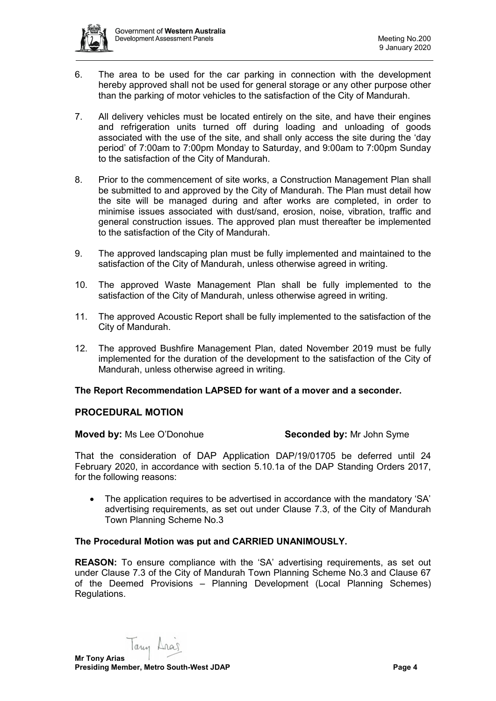- 6. The area to be used for the car parking in connection with the development hereby approved shall not be used for general storage or any other purpose other than the parking of motor vehicles to the satisfaction of the City of Mandurah.
- 7. All delivery vehicles must be located entirely on the site, and have their engines and refrigeration units turned off during loading and unloading of goods associated with the use of the site, and shall only access the site during the 'day period' of 7:00am to 7:00pm Monday to Saturday, and 9:00am to 7:00pm Sunday to the satisfaction of the City of Mandurah.
- 8. Prior to the commencement of site works, a Construction Management Plan shall be submitted to and approved by the City of Mandurah. The Plan must detail how the site will be managed during and after works are completed, in order to minimise issues associated with dust/sand, erosion, noise, vibration, traffic and general construction issues. The approved plan must thereafter be implemented to the satisfaction of the City of Mandurah.
- 9. The approved landscaping plan must be fully implemented and maintained to the satisfaction of the City of Mandurah, unless otherwise agreed in writing.
- 10. The approved Waste Management Plan shall be fully implemented to the satisfaction of the City of Mandurah, unless otherwise agreed in writing.
- 11. The approved Acoustic Report shall be fully implemented to the satisfaction of the City of Mandurah.
- 12. The approved Bushfire Management Plan, dated November 2019 must be fully implemented for the duration of the development to the satisfaction of the City of Mandurah, unless otherwise agreed in writing.

# **The Report Recommendation LAPSED for want of a mover and a seconder.**

# **PROCEDURAL MOTION**

#### **Moved by:** Ms Lee O'Donohue **Seconded by:** Mr John Syme

That the consideration of DAP Application DAP/19/01705 be deferred until 24 February 2020, in accordance with section 5.10.1a of the DAP Standing Orders 2017, for the following reasons:

• The application requires to be advertised in accordance with the mandatory 'SA' advertising requirements, as set out under Clause 7.3, of the City of Mandurah Town Planning Scheme No.3

# **The Procedural Motion was put and CARRIED UNANIMOUSLY.**

**REASON:** To ensure compliance with the 'SA' advertising requirements, as set out under Clause 7.3 of the City of Mandurah Town Planning Scheme No.3 and Clause 67 of the Deemed Provisions – Planning Development (Local Planning Schemes) Regulations.